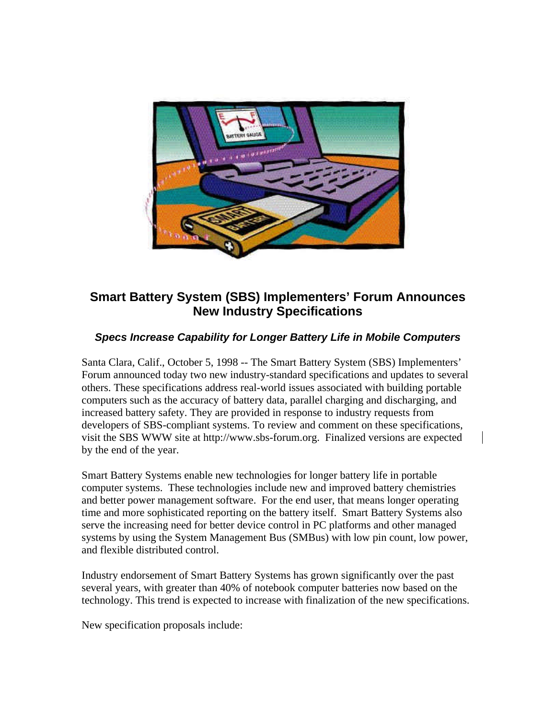

## **Smart Battery System (SBS) Implementers' Forum Announces New Industry Specifications**

## *Specs Increase Capability for Longer Battery Life in Mobile Computers*

Santa Clara, Calif., October 5, 1998 -- The Smart Battery System (SBS) Implementers' Forum announced today two new industry-standard specifications and updates to several others. These specifications address real-world issues associated with building portable computers such as the accuracy of battery data, parallel charging and discharging, and increased battery safety. They are provided in response to industry requests from developers of SBS-compliant systems. To review and comment on these specifications, visit the SBS WWW site at http://www.sbs-forum.org. Finalized versions are expected by the end of the year.

Smart Battery Systems enable new technologies for longer battery life in portable computer systems. These technologies include new and improved battery chemistries and better power management software. For the end user, that means longer operating time and more sophisticated reporting on the battery itself. Smart Battery Systems also serve the increasing need for better device control in PC platforms and other managed systems by using the System Management Bus (SMBus) with low pin count, low power, and flexible distributed control.

Industry endorsement of Smart Battery Systems has grown significantly over the past several years, with greater than 40% of notebook computer batteries now based on the technology. This trend is expected to increase with finalization of the new specifications.

New specification proposals include: